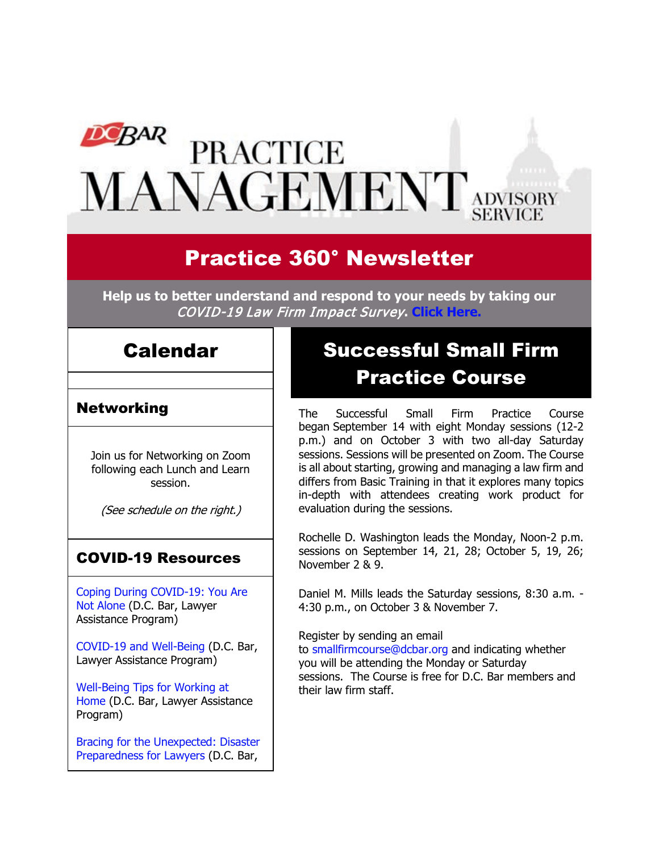# **DCBAR PRACTICE** MANAGEMENT ADVISORY

# Practice 360° Newsletter

**Help us to better understand and respond to your needs by taking our** COVID-19 Law Firm Impact Survey**. [Click Here.](https://www.surveymonkey.com/r/W9XMXJH)**

## Calendar

### Networking

Join us for Networking on Zoom following each Lunch and Learn session.

(See schedule on the right.)

### COVID-19 Resources

[Coping During COVID-19: You Are](https://www.dcbar.org/news-events/news/coping-during-covid-19-you-are-not-alone?utm_source=Real%20Magnet&utm_medium=INSERT_CHANNEL&utm_campaign=INSERT_LINK_ID)  [Not Alone](https://www.dcbar.org/news-events/news/coping-during-covid-19-you-are-not-alone?utm_source=Real%20Magnet&utm_medium=INSERT_CHANNEL&utm_campaign=INSERT_LINK_ID) (D.C. Bar, Lawyer Assistance Program)

[COVID-19 and Well-Being](https://dcbarcms-uat3.i3digital.com/DCBar/i3Base/DCBar/For%20Lawyers/Lawyer%20Assistance%20Program/PDFs/covid-19-and-well-being.pdf) (D.C. Bar, Lawyer Assistance Program)

[Well-Being Tips for Working at](https://dcbarcms-uat3.i3digital.com/DCBar/i3Base/DCBar/For%20Lawyers/Lawyer%20Assistance%20Program/PDFs/Wellness-Tips-Working-From-Home.pdf)  [Home](https://dcbarcms-uat3.i3digital.com/DCBar/i3Base/DCBar/For%20Lawyers/Lawyer%20Assistance%20Program/PDFs/Wellness-Tips-Working-From-Home.pdf) (D.C. Bar, Lawyer Assistance Program)

[Bracing for the Unexpected: Disaster](https://www.dcbar.org/news-events/news/bracing-for-the-unexpected-disaster-preparedness-f?utm_source=Real%20Magnet&utm_medium=INSERT_CHANNEL&utm_campaign=INSERT_LINK_ID)  [Preparedness for Lawyers](https://www.dcbar.org/news-events/news/bracing-for-the-unexpected-disaster-preparedness-f?utm_source=Real%20Magnet&utm_medium=INSERT_CHANNEL&utm_campaign=INSERT_LINK_ID) (D.C. Bar,

# Successful Small Firm Practice Course

The Successful Small Firm Practice Course began September 14 with eight Monday sessions (12-2 p.m.) and on October 3 with two all-day Saturday sessions. Sessions will be presented on Zoom. The Course is all about starting, growing and managing a law firm and differs from Basic Training in that it explores many topics in-depth with attendees creating work product for evaluation during the sessions.

Rochelle D. Washington leads the Monday, Noon-2 p.m. sessions on September 14, 21, 28; October 5, 19, 26; November 2 & 9.

Daniel M. Mills leads the Saturday sessions, 8:30 a.m. - 4:30 p.m., on October 3 & November 7.

Register by sending an email

to [smallfirmcourse@dcbar.org](mailto:SmallFirmCourse@DCBar.org) and indicating whether you will be attending the Monday or Saturday sessions. The Course is free for D.C. Bar members and their law firm staff.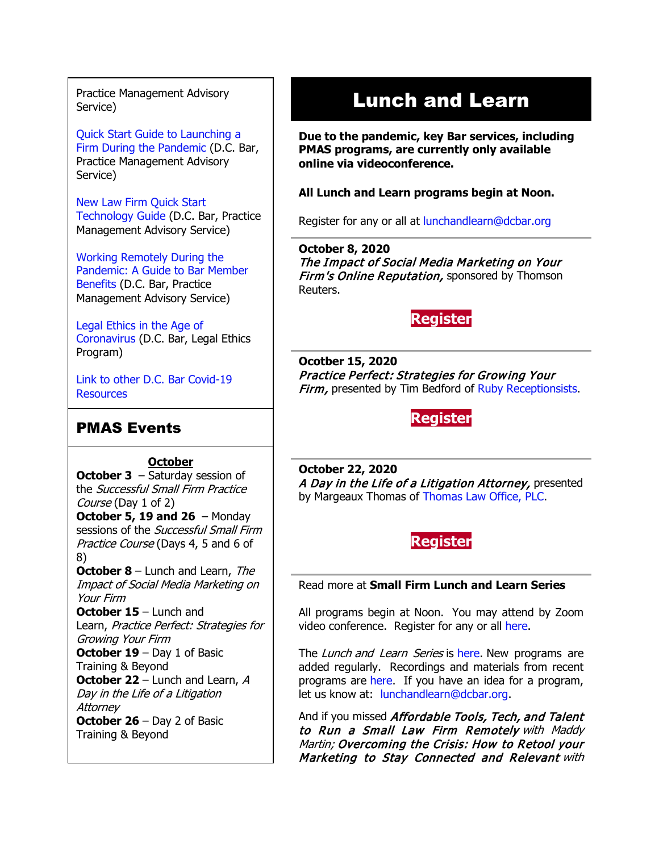Practice Management Advisory Service)

[Quick Start Guide to Launching a](https://www.dcbar.org/getmedia/d28b7c4b-3dcb-419e-828d-fdc2340588f9/Career-disruption-setting-up-a-law-firm-quickly-resources?utm_source=Real%20Magnet&utm_medium=INSERT_CHANNEL&utm_campaign=INSERT_LINK_ID)  [Firm During the Pandemic](https://www.dcbar.org/getmedia/d28b7c4b-3dcb-419e-828d-fdc2340588f9/Career-disruption-setting-up-a-law-firm-quickly-resources?utm_source=Real%20Magnet&utm_medium=INSERT_CHANNEL&utm_campaign=INSERT_LINK_ID) (D.C. Bar, Practice Management Advisory Service)

[New Law Firm Quick Start](https://www.dcbar.org/getmedia/34a3addd-9a13-4fc7-8e68-fbc2be8b50e0/Quick-start-Tech-Guide-final?utm_source=Real%20Magnet&utm_medium=INSERT_CHANNEL&utm_campaign=INSERT_LINK_ID)  [Technology Guide](https://www.dcbar.org/getmedia/34a3addd-9a13-4fc7-8e68-fbc2be8b50e0/Quick-start-Tech-Guide-final?utm_source=Real%20Magnet&utm_medium=INSERT_CHANNEL&utm_campaign=INSERT_LINK_ID) (D.C. Bar, Practice Management Advisory Service)

[Working Remotely During the](https://www.dcbar.org/news-events/news/working-remotely-during-the-pandemic-a-guide-to-ba?utm_source=Real%20Magnet&utm_medium=INSERT_CHANNEL&utm_campaign=INSERT_LINK_ID)  [Pandemic: A Guide to Bar Member](https://www.dcbar.org/news-events/news/working-remotely-during-the-pandemic-a-guide-to-ba?utm_source=Real%20Magnet&utm_medium=INSERT_CHANNEL&utm_campaign=INSERT_LINK_ID)  [Benefits](https://www.dcbar.org/news-events/news/working-remotely-during-the-pandemic-a-guide-to-ba?utm_source=Real%20Magnet&utm_medium=INSERT_CHANNEL&utm_campaign=INSERT_LINK_ID) (D.C. Bar, Practice Management Advisory Service)

[Legal Ethics in the Age of](https://www.dcbar.org/news-events/news/legal-ethics-in-the-age-of-the-coronavirus?utm_source=Real%20Magnet&utm_medium=INSERT_CHANNEL&utm_campaign=INSERT_LINK_ID)  [Coronavirus](https://www.dcbar.org/news-events/news/legal-ethics-in-the-age-of-the-coronavirus?utm_source=Real%20Magnet&utm_medium=INSERT_CHANNEL&utm_campaign=INSERT_LINK_ID) (D.C. Bar, Legal Ethics Program)

[Link to other D.C. Bar Covid-19](https://www.dcbar.org/for-lawyers/membership/covid-19-resources?utm_source=Real%20Magnet&utm_medium=INSERT_CHANNEL&utm_campaign=INSERT_LINK_ID)  **[Resources](https://www.dcbar.org/for-lawyers/membership/covid-19-resources?utm_source=Real%20Magnet&utm_medium=INSERT_CHANNEL&utm_campaign=INSERT_LINK_ID)** 

### PMAS Events

**October**

**October 3** – Saturday session of the Successful Small Firm Practice Course (Day 1 of 2)

**October 5, 19 and 26** – Monday sessions of the Successful Small Firm Practice Course (Days 4, 5 and 6 of 8)

**October 8** – Lunch and Learn, The Impact of Social Media Marketing on Your Firm

**October 15** – Lunch and Learn, Practice Perfect: Strategies for Growing Your Firm

**October 19** – Day 1 of Basic Training & Beyond

**October 22** – Lunch and Learn, A Day in the Life of a Litigation Attorney

**October 26** – Day 2 of Basic Training & Beyond

# Lunch and Learn

**Due to the pandemic, key Bar services, including PMAS programs, are currently only available online via videoconference.**

**All Lunch and Learn programs begin at Noon.**

Register for any or all at [lunchandlearn@dcbar.org](mailto:lunchandlearn@dcbar.org?subject=Lunch%20and%20Learn)

**October 8, 2020** The Impact of Social Media Marketing on Your **Firm's Online Reputation, sponsored by Thomson** Reuters.

### **[Register](https://join.dcbar.org/eWeb/DynamicPage.aspx?site=dcbar&webcode=EventInfo&Reg_evt_key=421427d8-307e-4c0f-966c-1c2bf2b454aa&RegPath=EventRegFees&FreeEvent=&Event=Lunch%20and%20Learn:%20The%20Impact%20of%20Social%20Media%20Marketing%20on%20Your%20Firm%E2%80%99s%20Online%20Reputation%20(Online%20Only)&FundraisingEvent=&evt_guest_limit=9999&utm_source=Real%20Magnet&utm_medium=INSERT_CHANNEL&utm_campaign=INSERT_LINK_ID)**

**Ocotber 15, 2020** Practice Perfect: Strategies for Growing Your Firm, presented by Tim Bedford of [Ruby Receptionsists.](https://www.ruby.com/)

### **[Register](https://join.dcbar.org/eWeb/DynamicPage.aspx?site=dcbar&webcode=EventInfo&Reg_evt_key=29ae1229-003e-4101-99e2-aee704ff5b9c&RegPath=EventRegFees&FreeEvent=&Event=Lunch%20and%20Learn:%20Practice%20Perfect:%20Strategies%20for%20Growing%20Your%20Firm%20(Online%20Only)&FundraisingEvent=&evt_guest_limit=9999&utm_source=Real%20Magnet&utm_medium=INSERT_CHANNEL&utm_campaign=INSERT_LINK_ID)**

**October 22, 2020** A Day in the Life of a Litigation Attorney, presented by Margeaux Thomas of [Thomas Law Office, PLC.](https://thomaslawplc.com/)

**[Register](https://join.dcbar.org/eWeb/DynamicPage.aspx?site=dcbar&webcode=EventInfo&Reg_evt_key=f6301472-5e5b-4f96-bdc8-f0ffc6ba7231&RegPath=EventRegFees&FreeEvent=&Event=Lunch%20and%20Learn:%20A%20Day%20in%20the%20Life%20of%20a%20Litigation%20Attorney%20(Online%20Only)&FundraisingEvent=&evt_guest_limit=9999&utm_source=Real%20Magnet&utm_medium=INSERT_CHANNEL&utm_campaign=INSERT_LINK_ID)**

Read more at **[Small Firm Lunch](https://www.dcbar.org/for-lawyers/practice-management-advisory-service/courses-and-trainings/small-firm-lunch-and-learn-series?utm_source=Real%20Magnet&utm_medium=INSERT_CHANNEL&utm_campaign=INSERT_LINK_ID) and Learn Series**

All programs begin at Noon. You may attend by Zoom video conference. Register for any or all [here.](https://www.dcbar.org/for-lawyers/practice-management-advisory-service/courses-and-trainings/small-firm-lunch-and-learn-series?utm_source=Real%20Magnet&utm_medium=INSERT_CHANNEL&utm_campaign=INSERT_LINK_ID)

The Lunch and Learn Series is [here.](https://www.dcbar.org/for-lawyers/practice-management-advisory-service/courses-and-trainings/small-firm-lunch-and-learn-series?utm_source=Real%20Magnet&utm_medium=INSERT_CHANNEL&utm_campaign=INSERT_LINK_ID) New programs are added regularly. Recordings and materials from recent programs are [here.](https://www.dcbar.org/for-lawyers/practice-management-advisory-service/courses-and-trainings/small-firm-lunch-and-learn-series/past-lunch-and-learn-programs?utm_source=Real%20Magnet&utm_medium=INSERT_CHANNEL&utm_campaign=INSERT_LINK_ID) If you have an idea for a program, let us know at: [lunchandlearn@dcbar.org.](mailto:lunchandlearn@dcbar.org)

And if you missed Affordable Tools, Tech, and Talent to Run a Small Law Firm Remotely with Maddy Martin; Overcoming the Crisis: How to Retool your Marketing to Stay Connected and Relevant with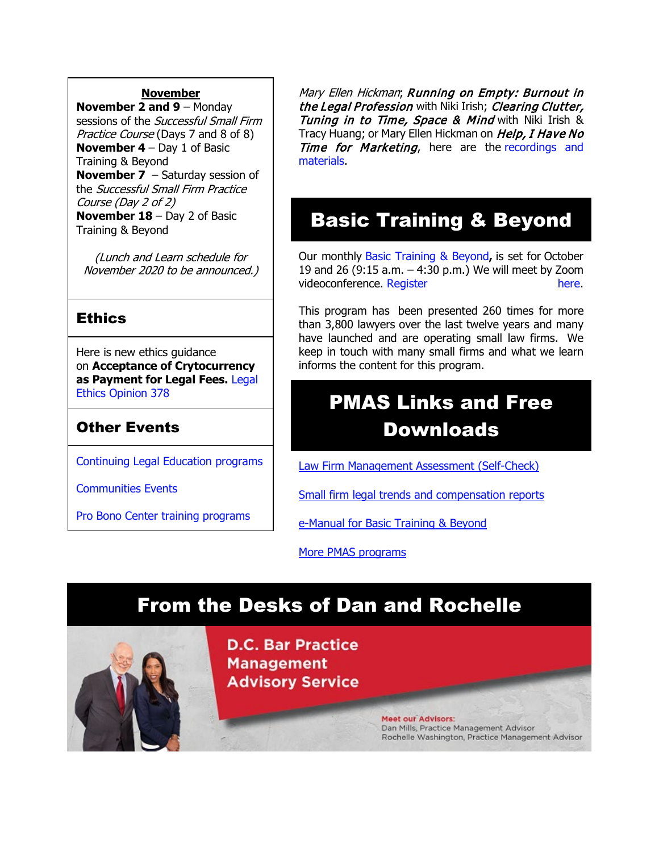#### **November**

**November 2 and 9** – Monday sessions of the *Successful Small Firm* Practice Course (Days 7 and 8 of 8) **November 4** – Day 1 of Basic Training & Beyond **November 7** – Saturday session of the Successful Small Firm Practice Course (Day 2 of 2) **November 18** – Day 2 of Basic Training & Beyond

(Lunch and Learn schedule for November 2020 to be announced.)

### **Ethics**

Here is new ethics guidance on **Acceptance of Crytocurrency as Payment for Legal Fees.** [Legal](https://www.dcbar.org/for-lawyers/legal-ethics/ethics-opinions-(1)?utm_source=Real%20Magnet&utm_medium=INSERT_CHANNEL&utm_campaign=INSERT_LINK_ID)  [Ethics Opinion 378](https://www.dcbar.org/for-lawyers/legal-ethics/ethics-opinions-(1)?utm_source=Real%20Magnet&utm_medium=INSERT_CHANNEL&utm_campaign=INSERT_LINK_ID)

### Other Events

[Continuing Legal Education programs](https://join.dcbar.org/eweb/DynamicPage.aspx?Site=DCBar&WebKey=cbe606bc-88d4-4d37-872c-f48d412a59e5&evt_etc_key=7aaf572d-f662-422f-9fe7-0ae3f4b705be&utm_source=Real%20Magnet&utm_medium=INSERT_CHANNEL&utm_campaign=INSERT_LINK_ID)

[Communities Events](https://join.dcbar.org/eweb/DynamicPage.aspx?site=dcbar&webcode=EventList&utm_source=Real%20Magnet&utm_medium=INSERT_CHANNEL&utm_campaign=INSERT_LINK_ID)

[Pro Bono Center training programs](https://www.dcbar.org/pro-bono/resources-and-training/pro-bono-center-training-program?utm_source=Real%20Magnet&utm_medium=INSERT_CHANNEL&utm_campaign=INSERT_LINK_ID)

Mary Ellen Hickman; Running on Empty: Burnout in the Legal Profession with Niki Irish; Clearing Clutter, Tuning in to Time, Space & Mind with Niki Irish & Tracy Huang; or Mary Ellen Hickman on Help, I Have No Time for Marketing, here are the recordings and [materials.](https://www.dcbar.org/for-lawyers/practice-management-advisory-service/courses-and-trainings/small-firm-lunch-and-learn-series/past-lunch-and-learn-programs?utm_source=Real%20Magnet&utm_medium=INSERT_CHANNEL&utm_campaign=INSERT_LINK_ID)

# Basic Training & Beyond

Our monthly [Basic Training & Beyond](https://www.dcbar.org/for-lawyers/practice-management-advisory-service/courses-and-trainings/basic-training-beyond?utm_source=Real%20Magnet&utm_medium=INSERT_CHANNEL&utm_campaign=INSERT_LINK_ID)**,** is set for October 19 and 26 (9:15 a.m. – 4:30 p.m.) We will meet by Zoom videoconference. [Register here.](https://www.dcbar.org/for-lawyers/practice-management-advisory-service/courses-and-trainings/basic-training-beyond?utm_source=Real%20Magnet&utm_medium=INSERT_CHANNEL&utm_campaign=INSERT_LINK_ID)

This program has been presented 260 times for more than 3,800 lawyers over the last twelve years and many have launched and are operating small law firms. We keep in touch with many small firms and what we learn informs the content for this program.

# PMAS Links and Free Downloads

[Law Firm Management Assessment \(Self-Check\)](https://www.dcbar.org/for-lawyers/practice-management-advisory-service/practice-tips-and-compliance/self-check?utm_source=Real%20Magnet&utm_medium=INSERT_CHANNEL&utm_campaign=INSERT_LINK_ID)

[Small firm legal trends and compensation reports](https://www.dcbar.org/for-lawyers/practice-management-advisory-service/courses-and-trainings/basic-training-beyond/basic-training-beyond-supplements?utm_source=Real%20Magnet&utm_medium=INSERT_CHANNEL&utm_campaign=INSERT_LINK_ID)

[e-Manual for Basic Training & Beyond](https://documentcloud.adobe.com/link/review?uri=urn:aaid:scds:US:2182dc5f-4a8c-435d-bb76-280eddc57a6d)

[More PMAS programs](https://www.dcbar.org/for-lawyers/practice-management-advisory-service/courses-and-trainings?utm_source=Real%20Magnet&utm_medium=INSERT_CHANNEL&utm_campaign=INSERT_LINK_ID)

# From the Desks of Dan and Rochelle

**D.C. Bar Practice Management Advisory Service** 

> **Meet our Advisors:** Dan Mills, Practice Management Advisor Rochelle Washington, Practice Management Advisor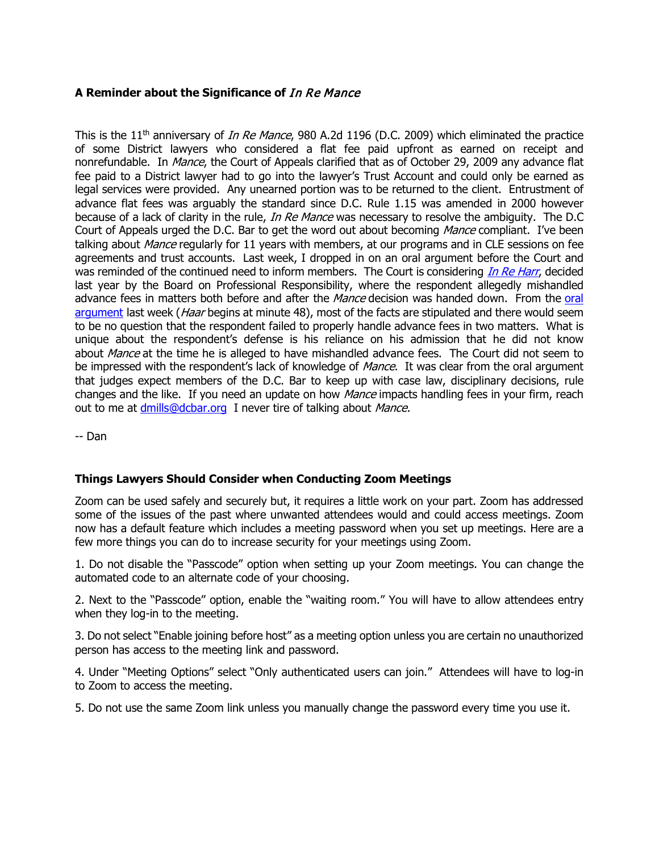#### **A Reminder about the Significance of** In Re Mance

This is the 11<sup>th</sup> anniversary of *In Re Mance*, 980 A.2d 1196 (D.C. 2009) which eliminated the practice of some District lawyers who considered a flat fee paid upfront as earned on receipt and nonrefundable. In Mance, the Court of Appeals clarified that as of October 29, 2009 any advance flat fee paid to a District lawyer had to go into the lawyer's Trust Account and could only be earned as legal services were provided. Any unearned portion was to be returned to the client. Entrustment of advance flat fees was arguably the standard since D.C. Rule 1.15 was amended in 2000 however because of a lack of clarity in the rule, In Re Mance was necessary to resolve the ambiguity. The D.C Court of Appeals urged the D.C. Bar to get the word out about becoming Mance compliant. I've been talking about *Mance* regularly for 11 years with members, at our programs and in CLE sessions on fee agreements and trust accounts. Last week, I dropped in on an oral argument before the Court and was reminded of the continued need to inform members. The Court is considering *[In Re Harr](https://www.dcbar.org/ServeFile/GetDisciplinaryActionFile?fileName=PaulSHaar17BD066.pdf&utm_source=Real%20Magnet&utm_medium=INSERT_CHANNEL&utm_campaign=INSERT_LINK_ID)*, decided last year by the Board on Professional Responsibility, where the respondent allegedly mishandled advance fees in matters both before and after the Mance decision was handed down. From the oral [argument](https://www.youtube.com/watch?v=SYxDFgGndwA) last week (*Haar* begins at minute 48), most of the facts are stipulated and there would seem to be no question that the respondent failed to properly handle advance fees in two matters. What is unique about the respondent's defense is his reliance on his admission that he did not know about Mance at the time he is alleged to have mishandled advance fees. The Court did not seem to be impressed with the respondent's lack of knowledge of *Mance*. It was clear from the oral argument that judges expect members of the D.C. Bar to keep up with case law, disciplinary decisions, rule changes and the like. If you need an update on how *Mance* impacts handling fees in your firm, reach out to me at *[dmills@dcbar.org](mailto:dmills@dcbar.org)* I never tire of talking about Mance.

-- Dan

#### **Things Lawyers Should Consider when Conducting Zoom Meetings**

Zoom can be used safely and securely but, it requires a little work on your part. Zoom has addressed some of the issues of the past where unwanted attendees would and could access meetings. Zoom now has a default feature which includes a meeting password when you set up meetings. Here are a few more things you can do to increase security for your meetings using Zoom.

1. Do not disable the "Passcode" option when setting up your Zoom meetings. You can change the automated code to an alternate code of your choosing.

2. Next to the "Passcode" option, enable the "waiting room." You will have to allow attendees entry when they log-in to the meeting.

3. Do not select "Enable joining before host" as a meeting option unless you are certain no unauthorized person has access to the meeting link and password.

4. Under "Meeting Options" select "Only authenticated users can join." Attendees will have to log-in to Zoom to access the meeting.

5. Do not use the same Zoom link unless you manually change the password every time you use it.